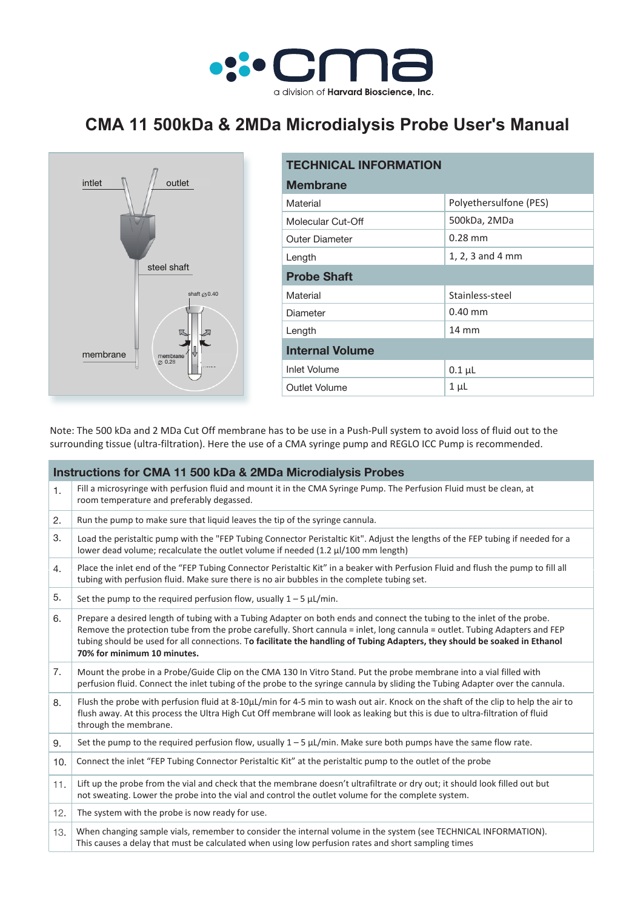

## **CMA 11 500kDa & 2MDa Microdialysis Probe User's Manual**



| <b>TECHNICAL INFORMATION</b> |                        |  |  |  |
|------------------------------|------------------------|--|--|--|
| <b>Membrane</b>              |                        |  |  |  |
| Material                     | Polyethersulfone (PES) |  |  |  |
| Molecular Cut-Off            | 500kDa, 2MDa           |  |  |  |
| <b>Outer Diameter</b>        | $0.28$ mm              |  |  |  |
| Length                       | $1, 2, 3$ and 4 mm     |  |  |  |
| <b>Probe Shaft</b>           |                        |  |  |  |
| Material                     | Stainless-steel        |  |  |  |
| Diameter                     | $0.40$ mm              |  |  |  |
| Length                       | $14 \text{ mm}$        |  |  |  |
| <b>Internal Volume</b>       |                        |  |  |  |
| <b>Inlet Volume</b>          | $0.1 \mu L$            |  |  |  |
| Outlet Volume                | $1 \mu L$              |  |  |  |
|                              |                        |  |  |  |

Note: The 500 kDa and 2 MDa Cut Off membrane has to be use in a Push-Pull system to avoid loss of fluid out to the surrounding tissue (ultra-filtration). Here the use of a CMA syringe pump and REGLO ICC Pump is recommended.

| <b>Instructions for CMA 11 500 kDa &amp; 2MDa Microdialysis Probes</b> |                                                                                                                                                                                                                                                                                                                                                                                                                    |  |  |
|------------------------------------------------------------------------|--------------------------------------------------------------------------------------------------------------------------------------------------------------------------------------------------------------------------------------------------------------------------------------------------------------------------------------------------------------------------------------------------------------------|--|--|
| 1.                                                                     | Fill a microsyringe with perfusion fluid and mount it in the CMA Syringe Pump. The Perfusion Fluid must be clean, at<br>room temperature and preferably degassed.                                                                                                                                                                                                                                                  |  |  |
| 2.                                                                     | Run the pump to make sure that liquid leaves the tip of the syringe cannula.                                                                                                                                                                                                                                                                                                                                       |  |  |
| 3.                                                                     | Load the peristaltic pump with the "FEP Tubing Connector Peristaltic Kit". Adjust the lengths of the FEP tubing if needed for a<br>lower dead volume; recalculate the outlet volume if needed (1.2 µl/100 mm length)                                                                                                                                                                                               |  |  |
| 4.                                                                     | Place the inlet end of the "FEP Tubing Connector Peristaltic Kit" in a beaker with Perfusion Fluid and flush the pump to fill all<br>tubing with perfusion fluid. Make sure there is no air bubbles in the complete tubing set.                                                                                                                                                                                    |  |  |
| 5.                                                                     | Set the pump to the required perfusion flow, usually $1 - 5 \mu L/min$ .                                                                                                                                                                                                                                                                                                                                           |  |  |
| 6.                                                                     | Prepare a desired length of tubing with a Tubing Adapter on both ends and connect the tubing to the inlet of the probe.<br>Remove the protection tube from the probe carefully. Short cannula = inlet, long cannula = outlet. Tubing Adapters and FEP<br>tubing should be used for all connections. To facilitate the handling of Tubing Adapters, they should be soaked in Ethanol<br>70% for minimum 10 minutes. |  |  |
| 7.                                                                     | Mount the probe in a Probe/Guide Clip on the CMA 130 In Vitro Stand. Put the probe membrane into a vial filled with<br>perfusion fluid. Connect the inlet tubing of the probe to the syringe cannula by sliding the Tubing Adapter over the cannula.                                                                                                                                                               |  |  |
| 8.                                                                     | Flush the probe with perfusion fluid at 8-10µL/min for 4-5 min to wash out air. Knock on the shaft of the clip to help the air to<br>flush away. At this process the Ultra High Cut Off membrane will look as leaking but this is due to ultra-filtration of fluid<br>through the membrane.                                                                                                                        |  |  |
| 9.                                                                     | Set the pump to the required perfusion flow, usually $1 - 5 \mu L/min$ . Make sure both pumps have the same flow rate.                                                                                                                                                                                                                                                                                             |  |  |
| 10.                                                                    | Connect the inlet "FEP Tubing Connector Peristaltic Kit" at the peristaltic pump to the outlet of the probe                                                                                                                                                                                                                                                                                                        |  |  |
| 11.                                                                    | Lift up the probe from the vial and check that the membrane doesn't ultrafiltrate or dry out; it should look filled out but<br>not sweating. Lower the probe into the vial and control the outlet volume for the complete system.                                                                                                                                                                                  |  |  |
| 12.                                                                    | The system with the probe is now ready for use.                                                                                                                                                                                                                                                                                                                                                                    |  |  |
| 13.                                                                    | When changing sample vials, remember to consider the internal volume in the system (see TECHNICAL INFORMATION).<br>This causes a delay that must be calculated when using low perfusion rates and short sampling times                                                                                                                                                                                             |  |  |